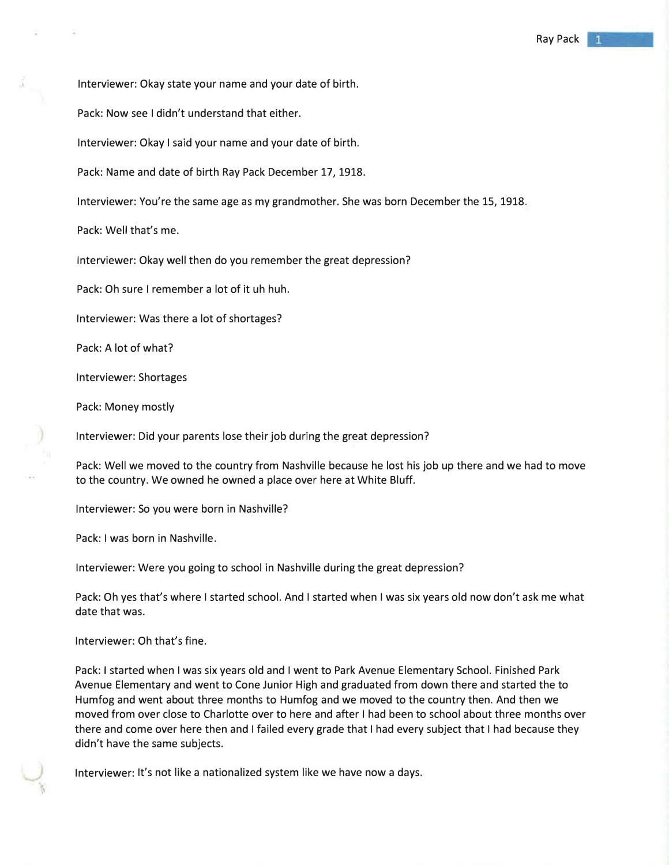Interviewer: Okay state your name and your date of birth.

Pack: Now see I didn't understand that either.

Interviewer: Okay I said your name and your date of birth.

Pack: Name and date of birth Ray Pack December 17, 1918.

Interviewer: You're the same age as my grandmother. She was born December the 15, 1918.

Pack: Well that's me.

Interviewer: Okay well then do you remember the great depression?

Pack: Oh sure I remember a lot of it uh huh.

Interviewer: Was there a lot of shortages?

Pack: A lot of what?

Interviewer: Shortages

Pack: Money mostly

Interviewer: Did your parents lose their job during the great depression?

Pack: Well we moved to the country from Nashville because he lost his job up there and we had to move to the country. We owned he owned a place over here at White Bluff.

Interviewer: So you were born in Nashville?

Pack: I was born in Nashville.

Interviewer: Were you going to school in Nashville during the great depression?

Pack: Oh yes that's where I started school. And I started when I was six years old now don't ask me what date that was.

Interviewer: Oh that's fine.

Pack: I started when I was six years old and I went to Park Avenue Elementary School. Finished Park Avenue Elementary and went to Cone Junior High and graduated from down there and started the to Humfog and went about three months to Humfog and we moved to the country then. And then we moved from over close to Charlotte over to here and after I had been to school about three months over there and come over here then and I failed every grade that I had every subject that I had because they didn't have the same subjects.

Interviewer: It's not like a nationalized system like we have now a days.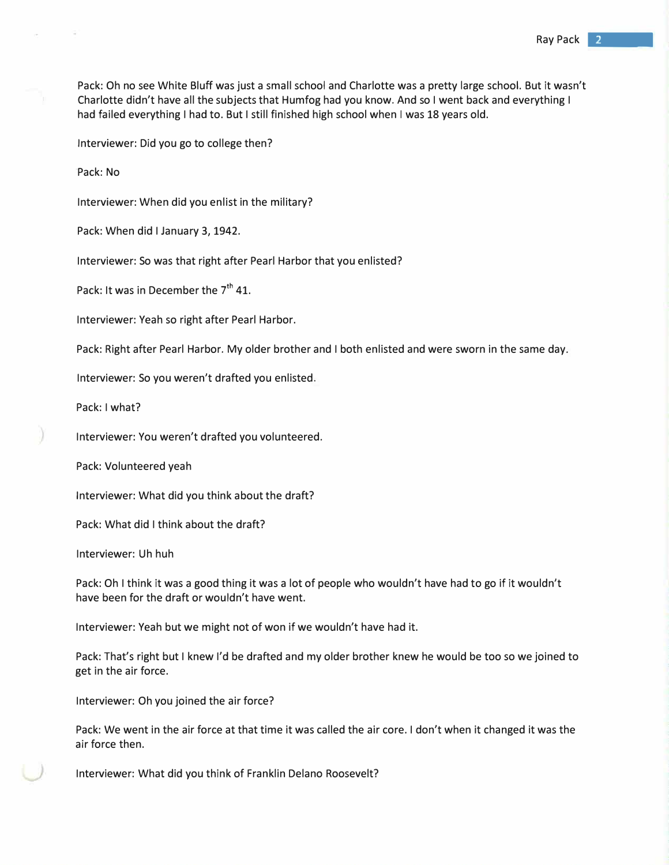Pack: Oh no see White Bluff was just a small school and Charlotte was a pretty large school. But it wasn't Charlotte didn't have all the subjects that Humfog had you know. And so I went back and everything I had failed everything I had to. But I still finished high school when I was 18 years old.

Interviewer: Did you go to college then?

Pack: No

Interviewer: When did you enlist in the military?

Pack: When did I January 3, 1942.

Interviewer: So was that right after Pearl Harbor that you enlisted?

Pack: It was in December the 7<sup>th</sup> 41.

Interviewer: Yeah so right after Pearl Harbor.

Pack: Right after Pearl Harbor. My older brother and I both enlisted and were sworn in the same day.

Interviewer: So you weren't drafted you enlisted.

Pack: I what?

Interviewer: You weren't drafted you volunteered.

Pack: Volunteered yeah

Interviewer: What did you think about the draft?

Pack: What did I think about the draft?

Interviewer: Uh huh

Pack: Oh I think it was a good thing it was a lot of people who wouldn't have had to go if it wouldn't have been for the draft or wouldn't have went.

Interviewer: Yeah but we might not of won if we wouldn't have had it.

Pack: That's right but I knew I'd be drafted and my older brother knew he would be too so we joined to get in the air force.

Interviewer: Oh you joined the air force?

Pack: We went in the air force at that time it was called the air core. I don't when it changed it was the air force then.

Interviewer: What did you think of Franklin Delano Roosevelt?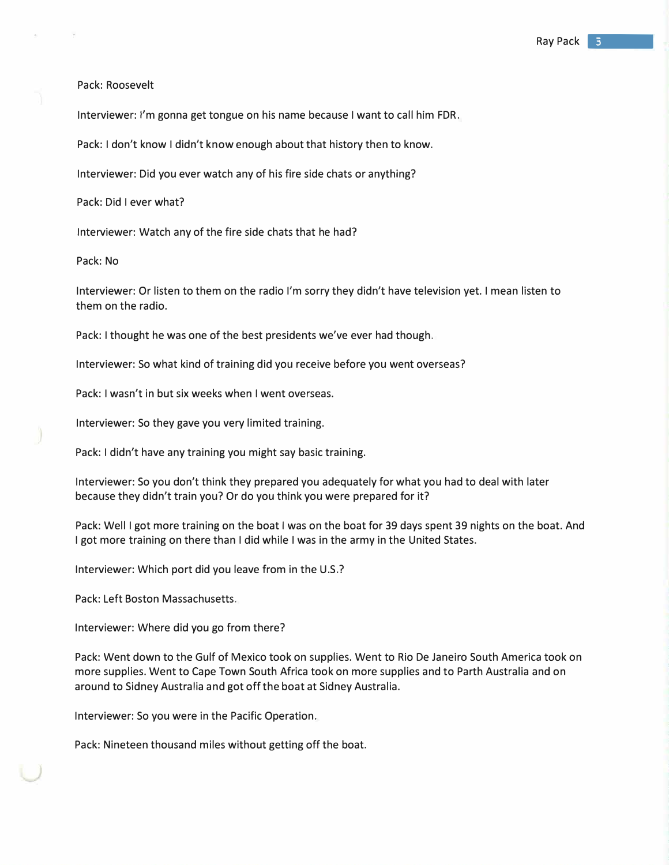Pack: Roosevelt

Interviewer: I'm gonna get tongue on his name because I want to call him FDR.

Pack: I don't know I didn't know enough about that history then to know.

Interviewer: Did you ever watch any of his fire side chats or anything?

Pack: Did I ever what?

Interviewer: Watch any of the fire side chats that he had?

Pack: No

Interviewer: Or listen to them on the radio I'm sorry they didn't have television yet. I mean listen to them on the radio.

Pack: I thought he was one of the best presidents we've ever had though.

Interviewer: So what kind of training did you receive before you went overseas?

Pack: I wasn't in but six weeks when I went overseas.

Interviewer: So they gave you very limited training.

Pack: I didn't have any training you might say basic training.

Interviewer: So you don't think they prepared you adequately for what you had to deal with later because they didn't train you? Or do you think you were prepared for it?

Pack: Well I got more training on the boat I was on the boat for 39 days spent 39 nights on the boat. And I got more training on there than I did while I was in the army in the United States.

Interviewer: Which port did you leave from in the U.S.?

Pack: Left Boston Massachusetts.

Interviewer: Where did you go from there?

Pack: Went down to the Gulf of Mexico took on supplies. Went to Rio De Janeiro South America took on more supplies. Went to Cape Town South Africa took on more supplies and to Parth Australia and on around to Sidney Australia and got off the boat at Sidney Australia.

Interviewer: So you were in the Pacific Operation.

Pack: Nineteen thousand miles without getting off the boat.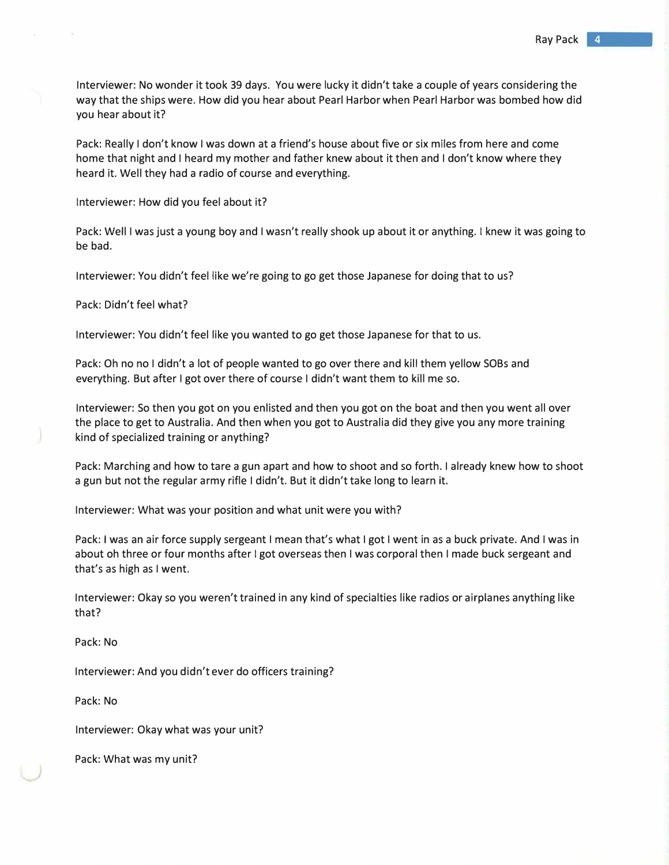Interviewer: No wonder it took 39 days. You were lucky it didn't take a couple of years considering the way that the ships were. How did you hear about Pearl Harbor when Pearl Harbor was bombed how did you hear about it?

Pack: Really I don't know I was down at a friend's house about five or six miles from here and come home that night and I heard my mother and father knew about it then and I don't know where they heard it. Well they had a radio of course and everything.

Interviewer: How did you feel about it?

Pack: Well I was just a young boy and I wasn't really shook up about it or anything. I knew it was going to be bad.

Interviewer: You didn't feel like we're going to go get those Japanese for doing that to us?

Pack: Didn't feel what?

Interviewer: You didn't feel like you wanted to go get those Japanese for that to us.

Pack: Oh no no I didn't a lot of people wanted to go over there and kill them yellow SOBs and everything. But after I got over there of course I didn't want them to kill me so.

Interviewer: So then you got on you enlisted and then you got on the boat and then you went all over the place to get to Australia. And then when you got to Australia did they give you any more training kind of specialized training or anything?

Pack: Marching and how to tare a gun apart and how to shoot and so forth. I already knew how to shoot a gun but not the regular army rifle I didn't. But it didn't take long to learn it.

Interviewer: What was your position and what unit were you with?

Pack: I was an air force supply sergeant I mean that's what I got I went in as a buck private. And I was in about oh three or four months after I got overseas then I was corporal then I made buck sergeant and that's as high as I went.

Interviewer: Okay so you weren't trained in any kind of specialties like radios or airplanes anything like that?

Pack: No

Interviewer: And you didn't ever do officers training?

Pack: No

Interviewer: Okay what was your unit?

Pack: What was my unit?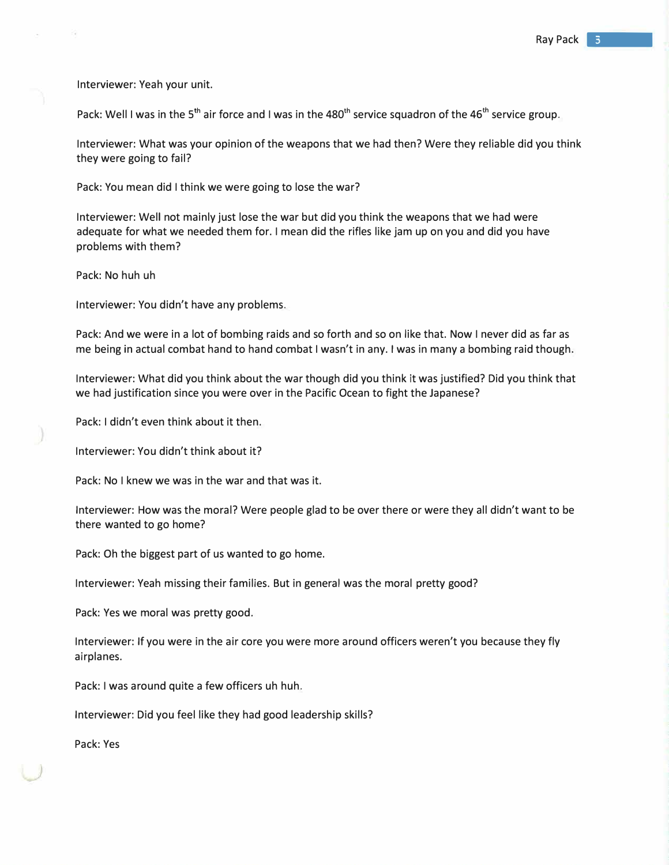Interviewer: Yeah your unit.

Pack: Well I was in the 5<sup>th</sup> air force and I was in the 480<sup>th</sup> service squadron of the 46<sup>th</sup> service group.

Interviewer: What was your opinion of the weapons that we had then? Were they reliable did you think they were going to fail?

Pack: You mean did I think we were going to lose the war?

Interviewer: Well not mainly just lose the war but did you think the weapons that we had were adequate for what we needed them for. I mean did the rifles like jam up on you and did you have problems with them?

Pack: No huh uh

Interviewer: You didn't have any problems.

Pack: And we were in a lot of bombing raids and so forth and so on like that. Now I never did as far as me being in actual combat hand to hand combat I wasn't in any. I was in many a bombing raid though.

Interviewer: What did you think about the war though did you think it was justified? Did you think that we had justification since you were over in the Pacific Ocean to fight the Japanese?

Pack: I didn't even think about it then.

Interviewer: You didn't think about it?

Pack: No I knew we was in the war and that was it.

Interviewer: How was the moral? Were people glad to be over there or were they all didn't want to be there wanted to go home?

Pack: Oh the biggest part of us wanted to go home.

Interviewer: Yeah missing their families. But in general was the moral pretty good?

Pack: Yes we moral was pretty good.

Interviewer: If you were in the air core you were more around officers weren't you because they fly airplanes.

Pack: I was around quite a few officers uh huh.

Interviewer: Did you feel like they had good leadership skills?

Pack: Yes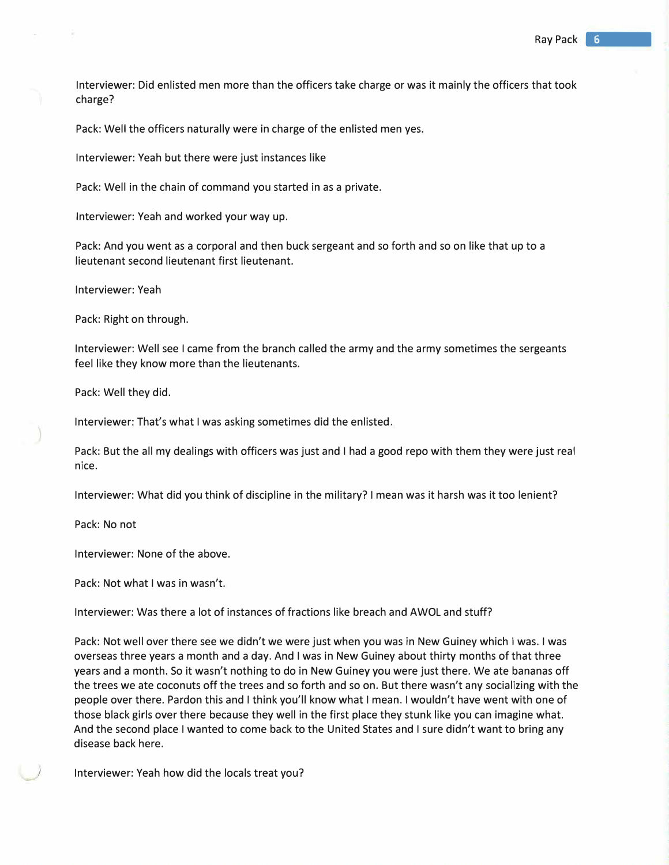Interviewer: Did enlisted men more than the officers take charge or was it mainly the officers that took charge?

Pack: Well the officers naturally were in charge of the enlisted men yes.

Interviewer: Yeah but there were just instances like

Pack: Well in the chain of command you started in as a private.

Interviewer: Yeah and worked your way up.

Pack: And you went as a corporal and then buck sergeant and so forth and so on like that up to a lieutenant second lieutenant first lieutenant.

Interviewer: Yeah

Pack: Right on through.

Interviewer: Well see I came from the branch called the army and the army sometimes the sergeants feel like they know more than the lieutenants.

Pack: Well they did.

Interviewer: That's what I was asking sometimes did the enlisted.

Pack: But the all my dealings with officers was just and I had a good repo with them they were just real nice.

Interviewer: What did you think of discipline in the military? I mean was it harsh was it too lenient?

Pack: No not

Interviewer: None of the above.

Pack: Not what I was in wasn't.

Interviewer: Was there a lot of instances of fractions like breach and AWOL and stuff?

Pack: Not well over there see we didn't we were just when you was in New Guiney which I was. I was overseas three years a month and a day. And I was in New Guiney about thirty months of that three years and a month. So it wasn't nothing to do in New Guiney you were just there. We ate bananas off the trees we ate coconuts off the trees and so forth and so on. But there wasn't any socializing with the people over there. Pardon this and I think you'll know what I mean. I wouldn't have went with one of those black girls over there because they well in the first place they stunk like you can imagine what. And the second place I wanted to come back to the United States and I sure didn't want to bring any disease back here.

Interviewer: Yeah how did the locals treat you?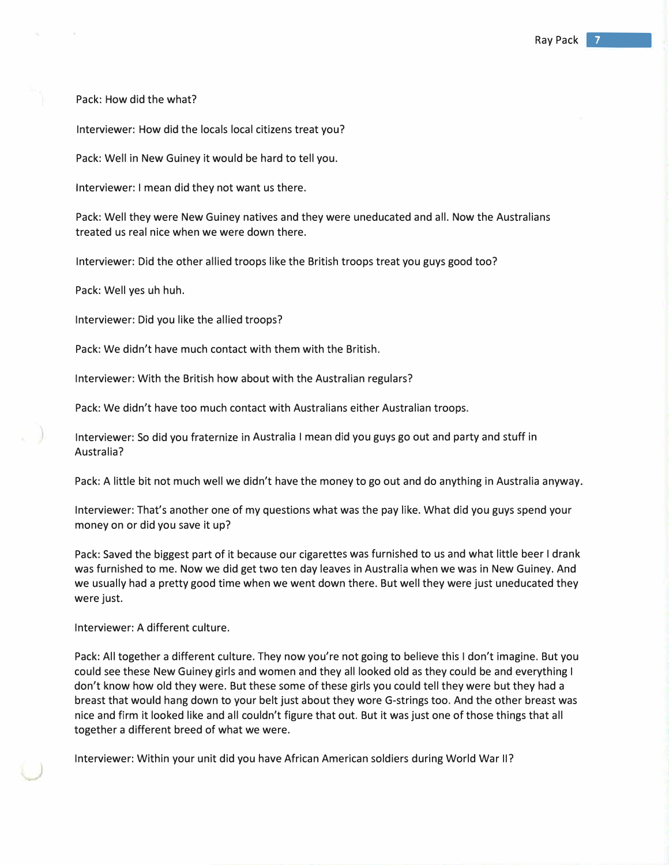Pack: How did the what?

Interviewer: How did the locals local citizens treat you?

Pack: Well in New Guiney it would be hard to tell you.

Interviewer: I mean did they not want us there.

Pack: Well they were New Guiney natives and they were uneducated and all. Now the Australians treated us real nice when we were down there.

Interviewer: Did the other allied troops like the British troops treat you guys good too?

Pack: Well yes uh huh.

Interviewer: Did you like the allied troops?

Pack: We didn't have much contact with them with the British.

Interviewer: With the British how about with the Australian regulars?

Pack: We didn't have too much contact with Australians either Australian troops.

Interviewer: So did you fraternize in Australia I mean did you guys go out and party and stuff in Australia?

Pack: A little bit not much well we didn't have the money to go out and do anything in Australia anyway.

Interviewer: That's another one of my questions what was the pay like. What did you guys spend your money on or did you save it up?

Pack: Saved the biggest part of it because our cigarettes was furnished to us and what little beer I drank was furnished to me. Now we did get two ten day leaves in Australia when we was in New Guiney. And we usually had a pretty good time when we went down there. But well they were just uneducated they were just.

Interviewer: A different culture.

Pack: All together a different culture. They now you're not going to believe this I don't imagine. But you could see these New Guiney girls and women and they all looked old as they could be and everything I don't know how old they were. But these some of these girls you could tell they were but they had a breast that would hang down to your belt just about they wore G-strings too. And the other breast was nice and firm it looked like and all couldn't figure that out. But it was just one of those things that all together a different breed of what we were.

Interviewer: Within your unit did you have African American soldiers during World War II?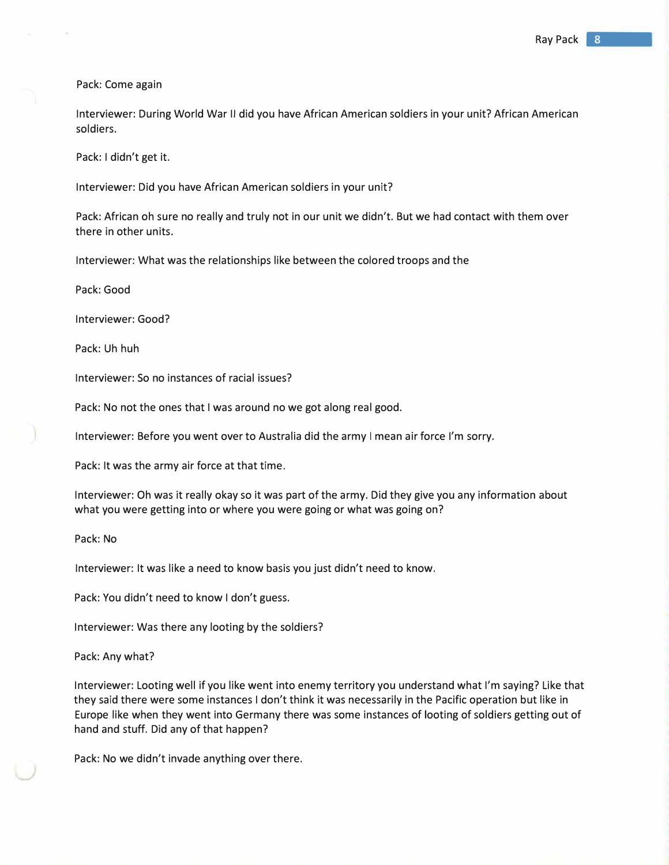Pack: Come again

Interviewer: During World War II did you have African American soldiers in your unit? African American soldiers.

Pack: I didn't get it.

Interviewer: Did you have African American soldiers in your unit?

Pack: African oh sure no really and truly not in our unit we didn't. But we had contact with them over there in other units.

Interviewer: What was the relationships like between the colored troops and the

Pack: Good

Interviewer: Good?

Pack: Uh huh

Interviewer: So no instances of racial issues?

Pack: No not the ones that I was around no we got along real good.

Interviewer: Before you went over to Australia did the army I mean air force I'm sorry.

Pack: It was the army air force at that time.

Interviewer: Oh was it really okay so it was part of the army. Did they give you any information about what you were getting into or where you were going or what was going on?

Pack: No

Interviewer: It was like a need to know basis you just didn't need to know.

Pack: You didn't need to know I don't guess.

Interviewer: Was there any looting by the soldiers?

Pack: Any what?

Interviewer: Looting well if you like went into enemy territory you understand what I'm saying? Like that they said there were some instances I don't think it was necessarily in the Pacific operation but like in Europe like when they went into Germany there was some instances of looting of soldiers getting out of hand and stuff. Did any of that happen?

Pack: No we didn't invade anything over there.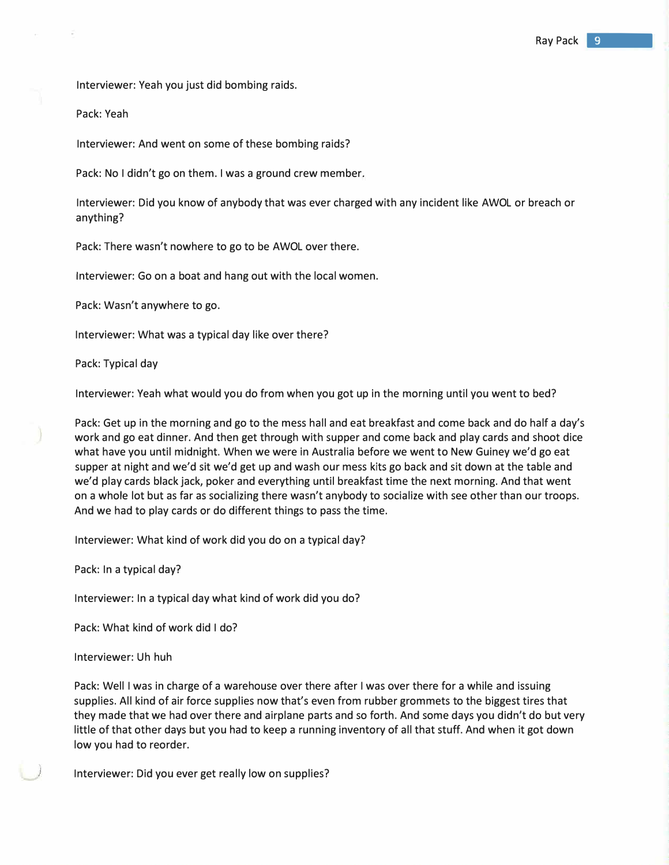Interviewer: Yeah you just did bombing raids.

Pack: Yeah

Interviewer: And went on some of these bombing raids?

Pack: No I didn't go on them. I was a ground crew member.

Interviewer: Did you know of anybody that was ever charged with any incident like AWOL or breach or anything?

Pack: There wasn't nowhere to go to be AWOL over there.

Interviewer: Go on a boat and hang out with the local women.

Pack: Wasn't anywhere to go.

Interviewer: What was a typical day like over there?

Pack: Typical day

Interviewer: Yeah what would you do from when you got up in the morning until you went to bed?

Pack: Get up in the morning and go to the mess hall and eat breakfast and come back and do half a day's work and go eat dinner. And then get through with supper and come back and play cards and shoot dice what have you until midnight. When we were in Australia before we went to New Guiney we'd go eat supper at night and we'd sit we'd get up and wash our mess kits go back and sit down at the table and we'd play cards black jack, poker and everything until breakfast time the next morning. And that went on a whole lot but as far as socializing there wasn't anybody to socialize with see other than our troops. And we had to play cards or do different things to pass the time.

Interviewer: What kind of work did you do on a typical day?

Pack: In a typical day?

Interviewer: In a typical day what kind of work did you do?

Pack: What kind of work did I do?

Interviewer: Uh huh

Pack: Well I was in charge of a warehouse over there after I was over there for a while and issuing supplies. All kind of air force supplies now that's even from rubber grommets to the biggest tires that they made that we had over there and airplane parts and so forth. And some days you didn't do but very little of that other days but you had to keep a running inventory of all that stuff. And when it got down low you had to reorder.

Interviewer: Did you ever get really low on supplies?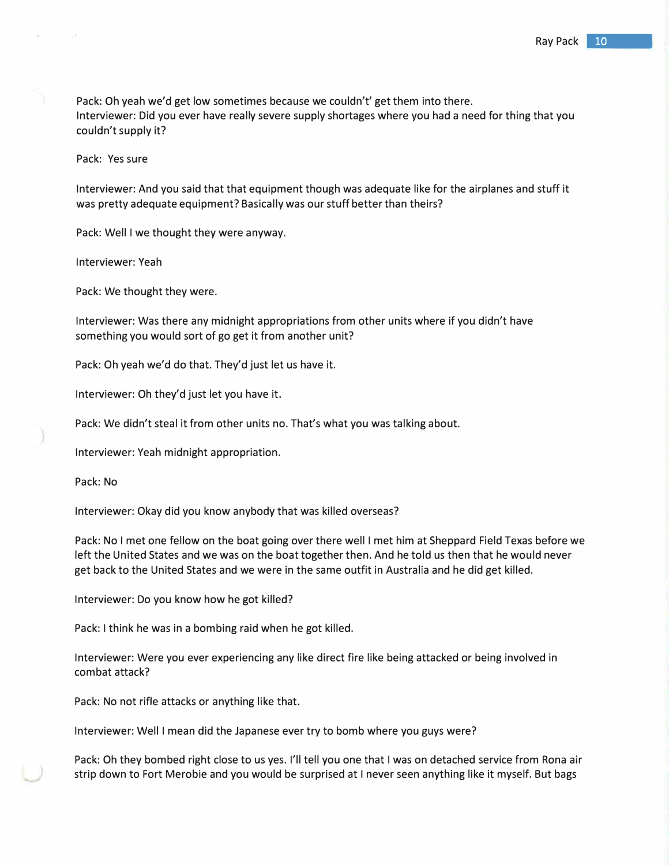Pack: Oh yeah we'd get low sometimes because we couldn't' get them into there. Interviewer: Did you ever have really severe supply shortages where you had a need for thing that you couldn't supply it?

Pack: Yes sure

Interviewer: And you said that that equipment though was adequate like for the airplanes and stuff it was pretty adequate equipment? Basically was our stuff better than theirs?

Pack: Well I we thought they were anyway.

Interviewer: Yeah

Pack: We thought they were.

Interviewer: Was there any midnight appropriations from other units where if you didn't have something you would sort of go get it from another unit?

Pack: Oh yeah we'd do that. They'd just let us have it.

Interviewer: Oh they'd just let you have it.

Pack: We didn't steal it from other units no. That's what you was talking about.

Interviewer: Yeah midnight appropriation.

Pack: No

Interviewer: Okay did you know anybody that was killed overseas?

Pack: No I met one fellow on the boat going over there well I met him at Sheppard Field Texas before we left the United States and we was on the boat together then. And he told us then that he would never get back to the United States and we were in the same outfit in Australia and he did get killed.

Interviewer: Do you know how he got killed?

Pack: I think he was in a bombing raid when he got killed.

Interviewer: Were you ever experiencing any like direct fire like being attacked or being involved in combat attack?

Pack: No not rifle attacks or anything like that.

Interviewer: Well I mean did the Japanese ever try to bomb where you guys were?

Pack: Oh they bombed right close to us yes. I'll tell you one that I was on detached service from Rona air strip down to Fort Merobie and you would be surprised at I never seen anything like it myself. But bags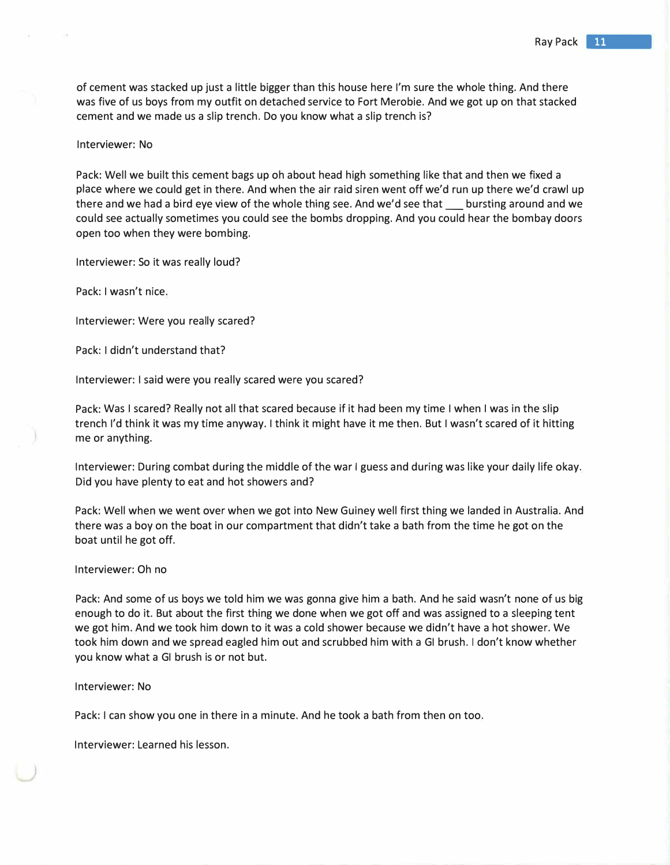of cement was stacked up just a little bigger than this house here I'm sure the whole thing. And there was five of us boys from my outfit on detached service to Fort Merobie. And we got up on that stacked cement and we made us a slip trench. Do you know what a slip trench is?

## Interviewer: No

Pack: Well we built this cement bags up oh about head high something like that and then we fixed a place where we could get in there. And when the air raid siren went off we'd run up there we'd crawl up there and we had a bird eye view of the whole thing see. And we'd see that subursting around and we could see actually sometimes you could see the bombs dropping. And you could hear the bombay doors open too when they were bombing.

Interviewer: So it was really loud?

Pack: I wasn't nice.

Interviewer: Were you really scared?

Pack: I didn't understand that?

Interviewer: I said were you really scared were you scared?

Pack: Was I scared? Really not all that scared because if it had been my time I when I was in the slip trench I'd think it was my time anyway. I think it might have it me then. But I wasn't scared of it hitting me or anything.

Interviewer: During combat during the middle of the war I guess and during was like your daily life okay. Did you have plenty to eat and hot showers and?

Pack: Well when we went over when we got into New Guiney well first thing we landed in Australia. And there was a boy on the boat in our compartment that didn't take a bath from the time he got on the boat until he got off.

#### Interviewer: Oh no

Pack: And some of us boys we told him we was gonna give him a bath. And he said wasn't none of us big enough to do it. But about the first thing we done when we got off and was assigned to a sleeping tent we got him. And we took him down to it was a cold shower because we didn't have a hot shower. We took him down and we spread eagled him out and scrubbed him with a GI brush. I don't know whether you know what a GI brush is or not but.

## Interviewer: No

Pack: I can show you one in there in a minute. And he took a bath from then on too.

Interviewer: Learned his lesson.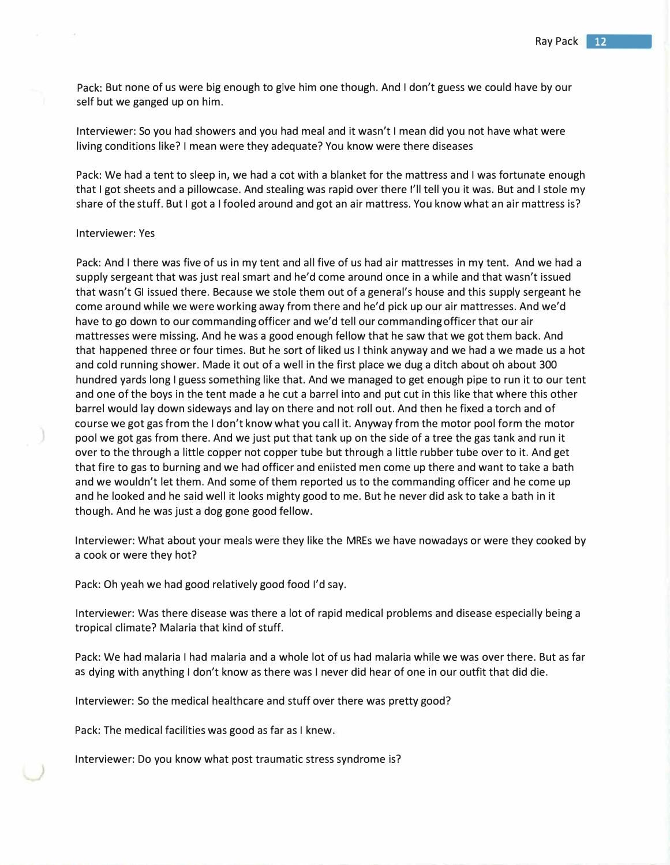Pack: But none of us were big enough to give him one though. And I don't guess we could have by our self but we ganged up on him.

Interviewer: So you had showers and you had meal and it wasn't I mean did you not have what were living conditions like? I mean were they adequate? You know were there diseases

Pack: We had a tent to sleep in, we had a cot with a blanket for the mattress and I was fortunate enough that I got sheets and a pillowcase. And stealing was rapid over there I'll tell you it was. But and I stole my share of the stuff. But I got a I fooled around and got an air mattress. You know what an air mattress is?

#### Interviewer: Yes

Pack: And I there was five of us in my tent and all five of us had air mattresses in my tent. And we had a supply sergeant that was just real smart and he'd come around once in a while and that wasn't issued that wasn't GI issued there. Because we stole them out of a general's house and this supply sergeant he come around while we were working away from there and he'd pick up our air mattresses. And we'd have to go down to our commanding officer and we'd tell our commanding officer that our air mattresses were missing. And he was a good enough fellow that he saw that we got them back. And that happened three or four times. But he sort of liked us I think anyway and we had a we made us a hot and cold running shower. Made it out of a well in the first place we dug a ditch about oh about 300 hundred yards long I guess something like that. And we managed to get enough pipe to run it to our tent and one of the boys in the tent made a he cut a barrel into and put cut in this like that where this other barrel would lay down sideways and lay on there and not roll out. And then he fixed a torch and of course we got gas from the I don't know what you call it. Anyway from the motor pool form the motor pool we got gas from there. And we just put that tank up on the side of a tree the gas tank and run it over to the through a little copper not copper tube but through a little rubber tube over to it. And get that fire to gas to burning and we had officer and enlisted men come up there and want to take a bath and we wouldn't let them. And some of them reported us to the commanding officer and he come up and he looked and he said well it looks mighty good to me. But he never did ask to take a bath in it though. And he was just a dog gone good fellow.

Interviewer: What about your meals were they like the MREs we have nowadays or were they cooked by a cook or were they hot?

Pack: Oh yeah we had good relatively good food I'd say.

Interviewer: Was there disease was there a lot of rapid medical problems and disease especially being a tropical climate? Malaria that kind of stuff.

Pack: We had malaria I had malaria and a whole lot of us had malaria while we was over there. But as far as dying with anything I don't know as there was I never did hear of one in our outfit that did die.

Interviewer: So the medical healthcare and stuff over there was pretty good?

Pack: The medical facilities was good as far as I knew.

Interviewer: Do you know what post traumatic stress syndrome is?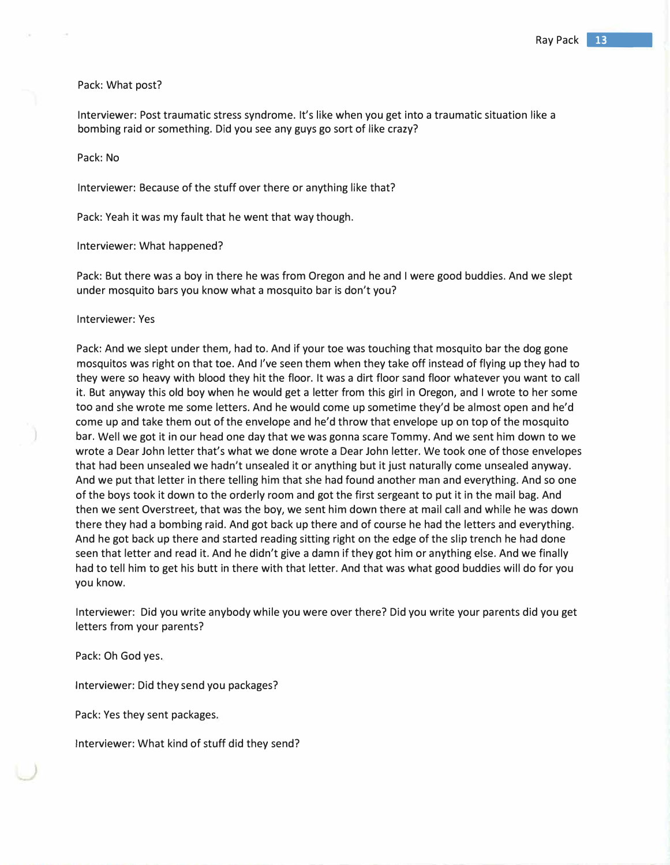# Pack: What post?

Interviewer: Post traumatic stress syndrome. It's like when you get into a traumatic situation like a bombing raid or something. Did you see any guys go sort of like crazy?

## Pack: No

Interviewer: Because of the stuff over there or anything like that?

Pack: Yeah it was my fault that he went that way though.

Interviewer: What happened?

Pack: But there was a boy in there he was from Oregon and he and I were good buddies. And we slept under mosquito bars you know what a mosquito bar is don't you?

## Interviewer: Yes

Pack: And we slept under them, had to. And if your toe was touching that mosquito bar the dog gone mosquitos was right on that toe. And I've seen them when they take off instead of flying up they had to they were so heavy with blood they hit the floor. It was a dirt floor sand floor whatever you want to call it. But anyway this old boy when he would get a letter from this girl in Oregon, and I wrote to her some too and she wrote me some letters. And he would come up sometime they'd be almost open and he'd come up and take them out of the envelope and he'd throw that envelope up on top of the mosquito bar. Well we got it in our head one day that we was gonna scare Tommy. And we sent him down to we wrote a Dear John letter that's what we done wrote a Dear John letter. We took one of those envelopes that had been unsealed we hadn't unsealed it or anything but it just naturally come unsealed anyway. And we put that letter in there telling him that she had found another man and everything. And so one of the boys took it down to the orderly room and got the first sergeant to put it in the mail bag. And then we sent Overstreet, that was the boy, we sent him down there at mail call and while he was down there they had a bombing raid. And got back up there and of course he had the letters and everything. And he got back up there and started reading sitting right on the edge of the slip trench he had done seen that letter and read it. And he didn't give a damn if they got him or anything else. And we finally had to tell him to get his butt in there with that letter. And that was what good buddies will do for you you know.

Interviewer: Did you write anybody while you were over there? Did you write your parents did you get letters from your parents?

Pack: Oh God yes.

Interviewer: Did they send you packages?

Pack: Yes they sent packages.

Interviewer: What kind of stuff did they send?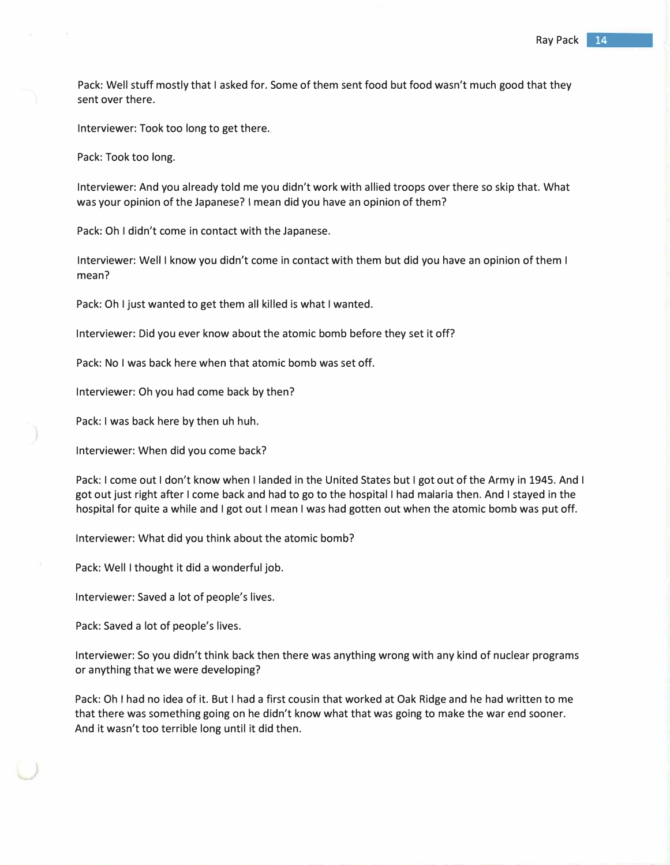Pack: Well stuff mostly that I asked for. Some of them sent food but food wasn't much good that they sent over there.

Interviewer: Took too long to get there.

Pack: Took too long.

Interviewer: And you already told me you didn't work with allied troops over there so skip that. What was your opinion of the Japanese? I mean did you have an opinion of them?

Pack: Oh I didn't come in contact with the Japanese.

Interviewer: Well I know you didn't come in contact with them but did you have an opinion of them I mean?

Pack: Oh I just wanted to get them all killed is what I wanted.

Interviewer: Did you ever know about the atomic bomb before they set it off?

Pack: No I was back here when that atomic bomb was set off.

Interviewer: Oh you had come back by then?

Pack: I was back here by then uh huh.

Interviewer: When did you come back?

Pack: I come out I don't know when I landed in the United States but I got out of the Army in 1945. And I got out just right after I come back and had to go to the hospital I had malaria then. And I stayed in the hospital for quite a while and I got out I mean I was had gotten out when the atomic bomb was put off.

Interviewer: What did you think about the atomic bomb?

Pack: Well I thought it did a wonderful job.

Interviewer: Saved a lot of people's lives.

Pack: Saved a lot of people's lives.

Interviewer: So you didn't think back then there was anything wrong with any kind of nuclear programs or anything that we were developing?

Pack: Oh I had no idea of it. But I had a first cousin that worked at Oak Ridge and he had written to me that there was something going on he didn't know what that was going to make the war end sooner. And it wasn't too terrible long until it did then.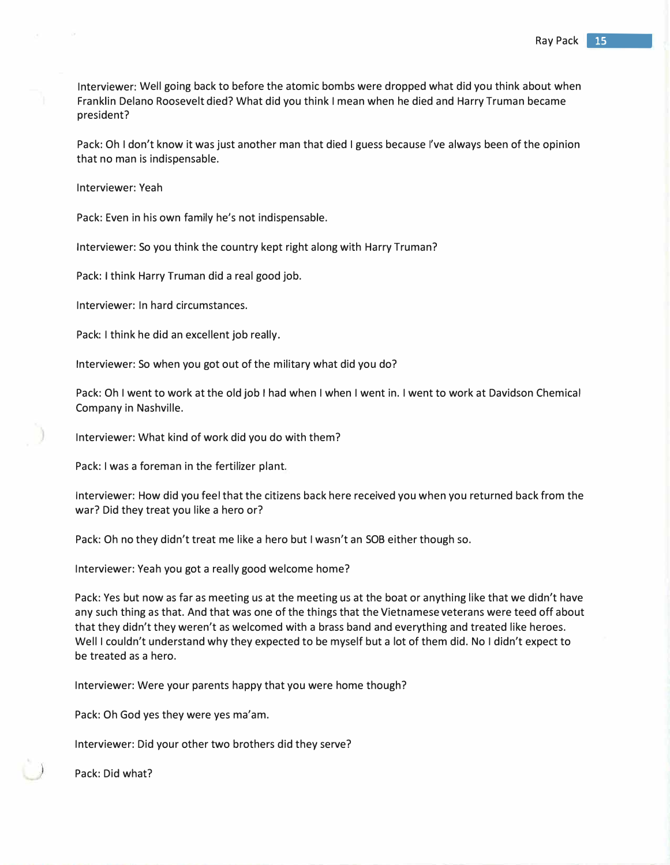Interviewer: Well going back to before the atomic bombs were dropped what did you think about when Franklin Delano Roosevelt died? What did you think I mean when he died and Harry Truman became president?

Pack: Oh I don't know it was just another man that died I guess because I've always been of the opinion that no man is indispensable.

Interviewer: Yeah

Pack: Even in his own family he's not indispensable.

Interviewer: So you think the country kept right along with Harry Truman?

Pack: I think Harry Truman did a real good job.

Interviewer: In hard circumstances.

Pack: I think he did an excellent job really.

Interviewer: So when you got out of the military what did you do?

Pack: Oh I went to work at the old job I had when I when I went in. I went to work at Davidson Chemical Company in Nashville.

Interviewer: What kind of work did you do with them?

Pack: I was a foreman in the fertilizer plant.

Interviewer: How did you feel that the citizens back here received you when you returned back from the war? Did they treat you like a hero or?

Pack: Oh no they didn't treat me like a hero but I wasn't an SOB either though so.

Interviewer: Yeah you got a really good welcome home?

Pack: Yes but now as far as meeting us at the meeting us at the boat or anything like that we didn't have any such thing as that. And that was one of the things that the Vietnamese veterans were teed off about that they didn't they weren't as welcomed with a brass band and everything and treated like heroes. Well I couldn't understand why they expected to be myself but a lot of them did. No I didn't expect to be treated as a hero.

Interviewer: Were your parents happy that you were home though?

Pack: Oh God yes they were yes ma'am.

Interviewer: Did your other two brothers did they serve?

Pack: Did what?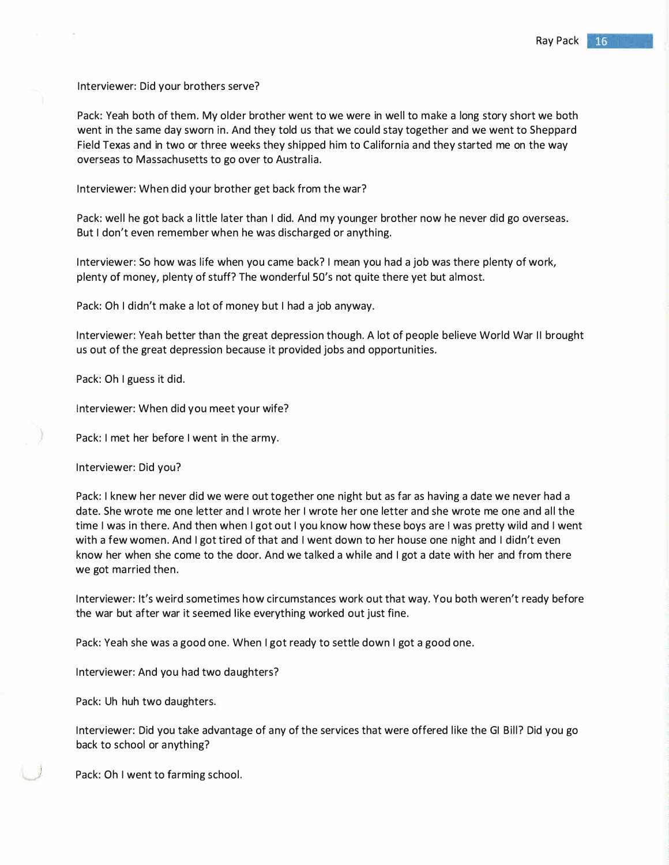Interviewer: Did your brothers serve?

Pack: Yeah both of them. My older brother went to we were in well to make a long story short we both went in the same day sworn in. And they told us that we could stay together and we went to Sheppard Field Texas and in two or three weeks they shipped him to California and they started me on the way overseas to Massachusetts to go over to Australia.

Interviewer: When did your brother get back from the war?

Pack: well he got back a little later than I did. And my younger brother now he never did go overseas. But I don't even remember when he was discharged or anything.

Interviewer: So how was life when you came back? I mean you had a job was there plenty of work, plenty of money, plenty of stuff? The wonderful SO's not quite there yet but almost.

Pack: Oh I didn't make a lot of money but I had a job anyway.

Interviewer: Yeah better than the great depression though. A lot of people believe World War II brought us out of the great depression because it provided jobs and opportunities.

Pack: Oh I guess it did.

Interviewer: When did you meet your wife?

Pack: I met her before I went in the army.

Interviewer: Did you?

Pack: I knew her never did we were out together one night but as far as having a date we never had a date. She wrote me one letter and I wrote her I wrote her one letter and she wrote me one and all the time I was in there. And then when I got out I you know how these boys are I was pretty wild and I went with a few women. And I got tired of that and I went down to her house one night and I didn't even know her when she come to the door. And we talked a while and I got a date with her and from there we got married then.

Interviewer: It's weird sometimes how circumstances work out that way. You both weren't ready before the war but after war it seemed like everything worked out just fine.

Pack: Yeah she was a good one. When I got ready to settle down I got a good one.

Interviewer: And you had two daughters?

Pack: Uh huh two daughters.

Interviewer: Did you take advantage of any of the services that were offered like the GI Bill? Did you go back to school or anything?

Pack: Oh I went to farming school.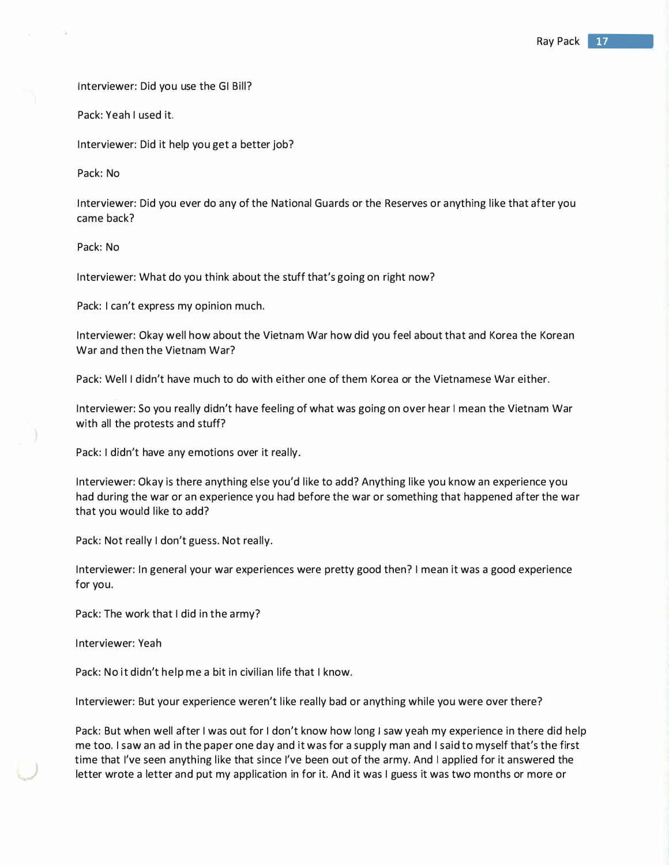Interviewer: Did you use the GI Bill?

Pack: Yeah I used it.

Interviewer: Did it help you get a better job?

Pack: No

Interviewer: Did you ever do any of the National Guards or the Reserves or anything like that after you came back?

Pack: No

Interviewer: What do you think about the stuff that's going on right now?

Pack: I can't express my opinion much.

Interviewer: Okay well how about the Vietnam War how did you feel about that and Korea the Korean War and then the Vietnam War?

Pack: Well I didn't have much to do with either one of them Korea or the Vietnamese War either.

Interviewer: So you really didn't have feeling of what was going on over hear I mean the Vietnam War with all the protests and stuff?

Pack: I didn't have any emotions over it really.

Interviewer: Okay is there anything else you'd like to add? Anything like you know an experience you had during the war or an experience you had before the war or something that happened after the war that you would like to add?

Pack: Not really I don't guess. Not really.

Interviewer: In general your war experiences were pretty good then? I mean it was a good experience for you.

Pack: The work that I did in the army?

Interviewer: Yeah

*)* 

Pack: No it didn't help me a bit in civilian life that I know.

Interviewer: But your experience weren't like really bad or anything while you were over there?

Pack: But when well after I was out for I don't know how long I saw yeah my experience in there did help me too. I saw an ad in the paper one day and it was for a supply man and I said to myself that's the first time that I've seen anything like that since I've been out of the army. And I applied for it answered the letter wrote a letter and put my application in for it. And it was I guess it was two months or more or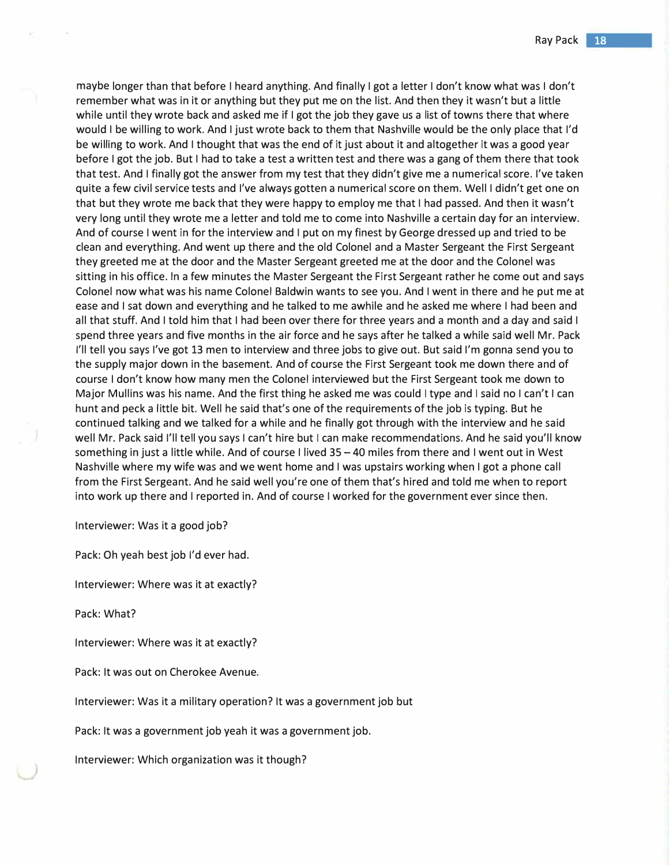maybe longer than that before I heard anything. And finally I got a letter I don't know what was I don't remember what was in it or anything but they put me on the list. And then they it wasn't but a little while until they wrote back and asked me if I got the job they gave us a list of towns there that where would I be willing to work. And I just wrote back to them that Nashville would be the only place that I'd be willing to work. And I thought that was the end of it just about it and altogether it was a good year before I got the job. But I had to take a test a written test and there was a gang of them there that took that test. And I finally got the answer from my test that they didn't give me a numerical score. I've taken quite a few civil service tests and I've always gotten a numerical score on them. Well I didn't get one on that but they wrote me back that they were happy to employ me that I had passed. And then it wasn't very long until they wrote me a letter and told me to come into Nashville a certain day for an interview. And of course I went in for the interview and I put on my finest by George dressed up and tried to be clean and everything. And went up there and the old Colonel and a Master Sergeant the First Sergeant they greeted me at the door and the Master Sergeant greeted me at the door and the Colonel was sitting in his office. In a few minutes the Master Sergeant the First Sergeant rather he come out and says Colonel now what was his name Colonel Baldwin wants to see you. And I went in there and he put me at ease and I sat down and everything and he talked to me awhile and he asked me where I had been and all that stuff. And I told him that I had been over there for three years and a month and a day and said I spend three years and five months in the air force and he says after he talked a while said well Mr. Pack I'll tell you says I've got 13 men to interview and three jobs to give out. But said I'm gonna send you to the supply major down in the basement. And of course the First Sergeant took me down there and of course I don't know how many men the Colonel interviewed but the First Sergeant took me down to Major Mullins was his name. And the first thing he asked me was could I type and I said no I can't I can hunt and peck a little bit. Well he said that's one of the requirements of the job is typing. But he continued talking and we talked for a while and he finally got through with the interview and he said well Mr. Pack said I'll tell you says I can't hire but I can make recommendations. And he said you'll know something in just a little while. And of course I lived 35 – 40 miles from there and I went out in West Nashville where my wife was and we went home and I was upstairs working when I got a phone call from the First Sergeant. And he said well you're one of them that's hired and told me when to report into work up there and I reported in. And of course I worked for the government ever since then.

Interviewer: Was it a good job?

Pack: Oh yeah best job I'd ever had.

Interviewer: Where was it at exactly?

Pack: What?

Interviewer: Where was it at exactly?

Pack: It was out on Cherokee Avenue.

Interviewer: Was it a military operation? It was a government job but

Pack: It was a government job yeah it was a government job.

Interviewer: Which organization was it though?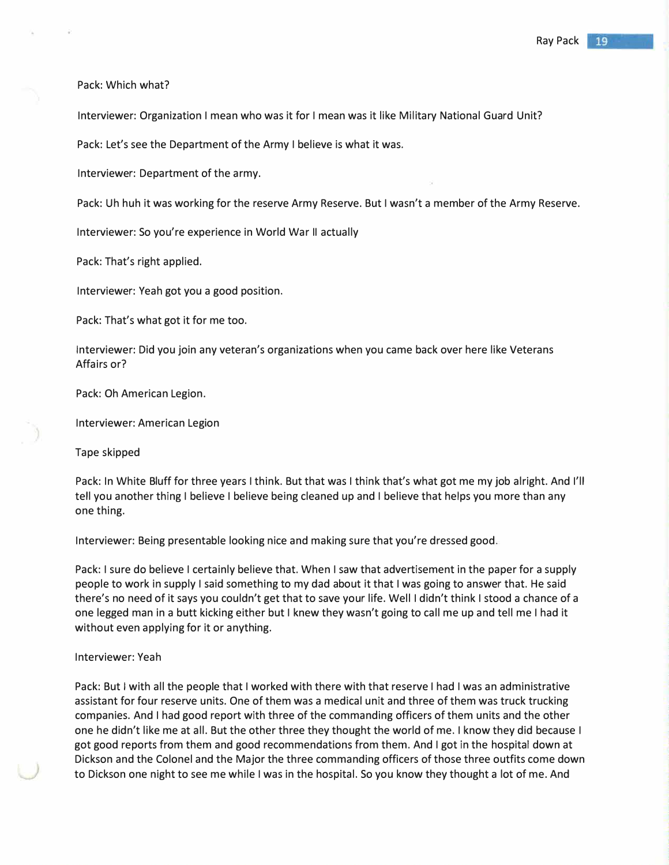# Pack: Which what?

Interviewer: Organization I mean who was it for I mean was it like Military National Guard Unit?

Pack: Let's see the Department of the Army I believe is what it was.

Interviewer: Department of the army.

Pack: Uh huh it was working for the reserve Army Reserve. But I wasn't a member of the Army Reserve.

Interviewer: So you're experience in World War II actually

Pack: That's right applied.

Interviewer: Yeah got you a good position.

Pack: That's what got it for me too.

Interviewer: Did you join any veteran's organizations when you came back over here like Veterans Affairs or?

Pack: Oh American Legion.

Interviewer: American Legion

Tape skipped

Pack: In White Bluff for three years I think. But that was I think that's what got me my job alright. And I'll tell you another thing I believe I believe being cleaned up and I believe that helps you more than any one thing.

Interviewer: Being presentable looking nice and making sure that you're dressed good.

Pack: I sure do believe I certainly believe that. When I saw that advertisement in the paper for a supply people to work in supply I said something to my dad about it that I was going to answer that. He said there's no need of it says you couldn't get that to save your life. Well I didn't think I stood a chance of a one legged man in a butt kicking either but I knew they wasn't going to call me up and tell me I had it without even applying for it or anything.

#### Interviewer: Yeah

Pack: But I with all the people that I worked with there with that reserve I had I was an administrative assistant for four reserve units. One of them was a medical unit and three of them was truck trucking companies. And I had good report with three of the commanding officers of them units and the other one he didn't like me at all. But the other three they thought the world of me. I know they did because I got good reports from them and good recommendations from them. And I got in the hospital down at Dickson and the Colonel and the Major the three commanding officers of those three outfits come down to Dickson one night to see me while I was in the hospital. So you know they thought a lot of me. And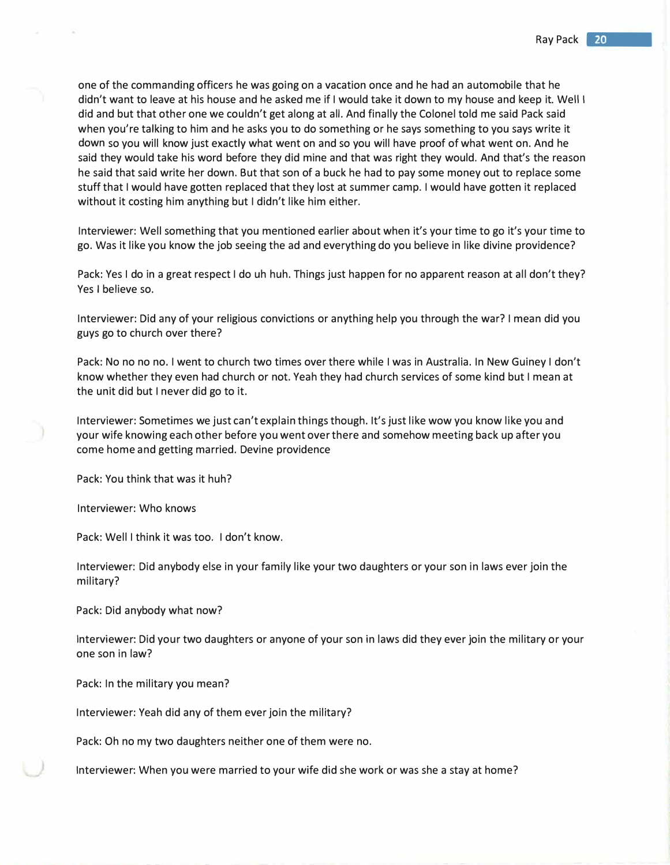one of the commanding officers he was going on a vacation once and he had an automobile that he didn't want to leave at his house and he asked me if I would take it down to my house and keep it. Well I did and but that other one we couldn't get along at all. And finally the Colonel told me said Pack said when you're talking to him and he asks you to do something or he says something to you says write it down so you will know just exactly what went on and so you will have proof of what went on. And he said they would take his word before they did mine and that was right they would. And that's the reason he said that said write her down. But that son of a buck he had to pay some money out to replace some stuff that I would have gotten replaced that they lost at summer camp. I would have gotten it replaced without it costing him anything but I didn't like him either.

Interviewer: Well something that you mentioned earlier about when it's your time to go it's your time to go. Was it like you know the job seeing the ad and everything do you believe in like divine providence?

Pack: Yes I do in a great respect I do uh huh. Things just happen for no apparent reason at all don't they? Yes I believe so.

Interviewer: Did any of your religious convictions or anything help you through the war? I mean did you guys go to church over there?

Pack: No no no no. I went to church two times over there while I was in Australia. In New Guiney I don't know whether they even had church or not. Yeah they had church services of some kind but I mean at the unit did but I never did go to it.

Interviewer: Sometimes we just can't explain things though. It's just like wow you know like you and your wife knowing each other before you went over there and somehow meeting back up after you come home and getting married. Devine providence

Pack: You think that was it huh?

Interviewer: Who knows

Pack: Well I think it was too. I don't know.

Interviewer: Did anybody else in your family like your two daughters or your son in laws ever join the military?

Pack: Did anybody what now?

Interviewer: Did your two daughters or anyone of your son in laws did they ever join the military or your one son in law?

Pack: In the military you mean?

Interviewer: Yeah did any of them ever join the military?

Pack: Oh no my two daughters neither one of them were no.

Interviewer: When you were married to your wife did she work or was she a stay at home?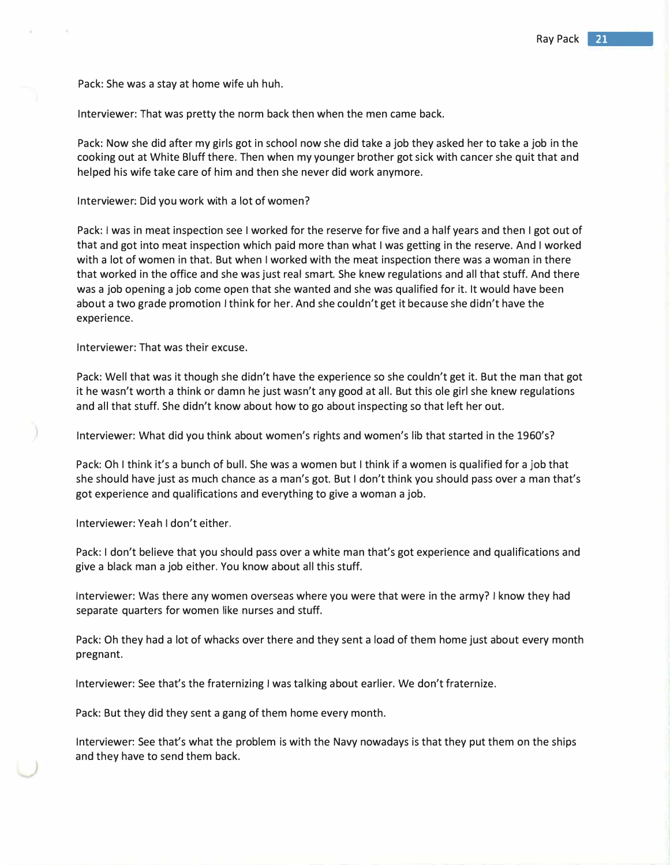Pack: She was a stay at home wife uh huh.

Interviewer: That was pretty the norm back then when the men came back.

Pack: Now she did after my girls got in school now she did take a job they asked her to take a job in the cooking out at White Bluff there. Then when my younger brother got sick with cancer she quit that and helped his wife take care of him and then she never did work anymore.

Interviewer: Did you work with a lot of women?

Pack: I was in meat inspection see I worked for the reserve for five and a half years and then I got out of that and got into meat inspection which paid more than what I was getting in the reserve. And I worked with a lot of women in that. But when I worked with the meat inspection there was a woman in there that worked in the office and she was just real smart. She knew regulations and all that stuff. And there was a job opening a job come open that she wanted and she was qualified for it. It would have been about a two grade promotion I think for her. And she couldn't get it because she didn't have the experience.

Interviewer: That was their excuse.

Pack: Well that was it though she didn't have the experience so she couldn't get it. But the man that got it he wasn't worth a think or damn he just wasn't any good at all. But this ale girl she knew regulations and all that stuff. She didn't know about how to go about inspecting so that left her out.

Interviewer: What did you think about women's rights and women's lib that started in the 1960's?

Pack: Oh I think it's a bunch of bull. She was a women but I think if a women is qualified for a job that she should have just as much chance as a man's got. But I don't think you should pass over a man that's got experience and qualifications and everything to give a woman a job.

Interviewer: Yeah I don't either.

Pack: I don't believe that you should pass over a white man that's got experience and qualifications and give a black man a job either. You know about all this stuff.

Interviewer: Was there any women overseas where you were that were in the army? I know they had separate quarters for women like nurses and stuff.

Pack: Oh they had a lot of whacks over there and they sent a load of them home just about every month pregnant.

Interviewer: See that's the fraternizing I was talking about earlier. We don't fraternize.

Pack: But they did they sent a gang of them home every month.

Interviewer: See that's what the problem is with the Navy nowadays is that they put them on the ships and they have to send them back.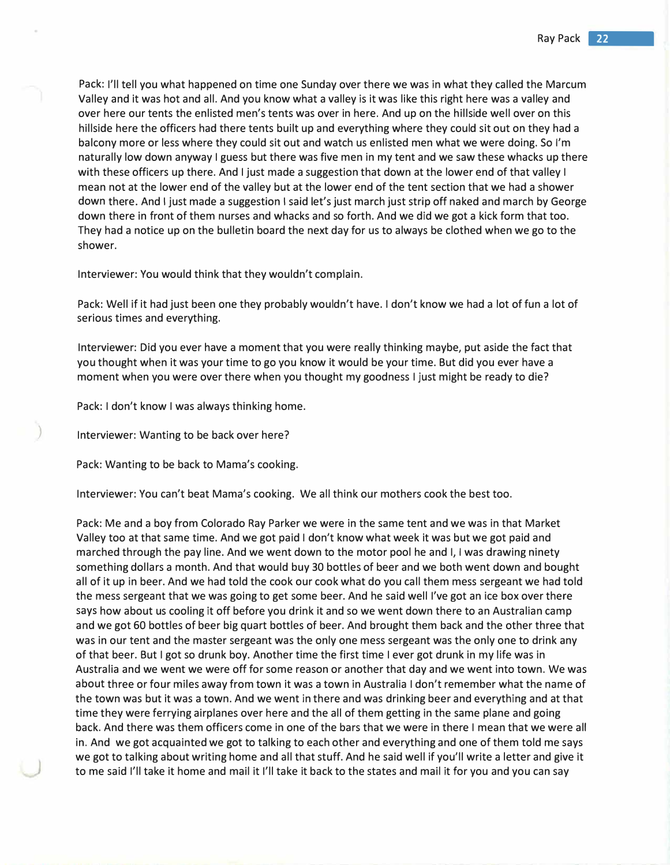Pack: I'll tell you what happened on time one Sunday over there we was in what they called the Marcum Valley and it was hot and all. And you know what a valley is it was like this right here was a valley and over here our tents the enlisted men's tents was over in here. And up on the hillside well over on this hillside here the officers had there tents built up and everything where they could sit out on they had a balcony more or less where they could sit out and watch us enlisted men what we were doing. So I'm naturally low down anyway I guess but there was five men in my tent and we saw these whacks up there with these officers up there. And I just made a suggestion that down at the lower end of that valley I mean not at the lower end of the valley but at the lower end of the tent section that we had a shower down there. And I just made a suggestion I said let's just march just strip off naked and march by George down there in front of them nurses and whacks and so forth. And we did we got a kick form that too. They had a notice up on the bulletin board the next day for us to always be clothed when we go to the shower.

Interviewer: You would think that they wouldn't complain.

Pack: Well if it had just been one they probably wouldn't have. I don't know we had a lot of fun a lot of serious times and everything.

Interviewer: Did you ever have a moment that you were really thinking maybe, put aside the fact that you thought when it was your time to go you know it would be your time. But did you ever have a moment when you were over there when you thought my goodness I just might be ready to die?

Pack: I don't know I was always thinking home.

) Interviewer: Wanting to be back over here?

Pack: Wanting to be back to Mama's cooking.

Interviewer: You can't beat Mama's cooking. We all think our mothers cook the best too.

Pack: Me and a boy from Colorado Ray Parker we were in the same tent and we was in that Market Valley too at that same time. And we got paid I don't know what week it was but we got paid and marched through the pay line. And we went down to the motor pool he and I, I was drawing ninety something dollars a month. And that would buy 30 bottles of beer and we both went down and bought all of it up in beer. And we had told the cook our cook what do you call them mess sergeant we had told the mess sergeant that we was going to get some beer. And he said well I've got an ice box over there says how about us cooling it off before you drink it and so we went down there to an Australian camp and we got 60 bottles of beer big quart bottles of beer. And brought them back and the other three that was in our tent and the master sergeant was the only one mess sergeant was the only one to drink any of that beer. But I got so drunk boy. Another time the first time I ever got drunk in my life was in Australia and we went we were off for some reason or another that day and we went into town. We was about three or four miles away from town it was a town in Australia I don't remember what the name of the town was but it was a town. And we went in there and was drinking beer and everything and at that time they were ferrying airplanes over here and the all of them getting in the same plane and going back. And there was them officers come in one of the bars that we were in there I mean that we were all in. And we got acquainted we got to talking to each other and everything and one of them told me says we got to talking about writing home and all that stuff. And he said well if you'll write a letter and give it to me said I'll take it home and mail it I'll take it back to the states and mail it for you and you can say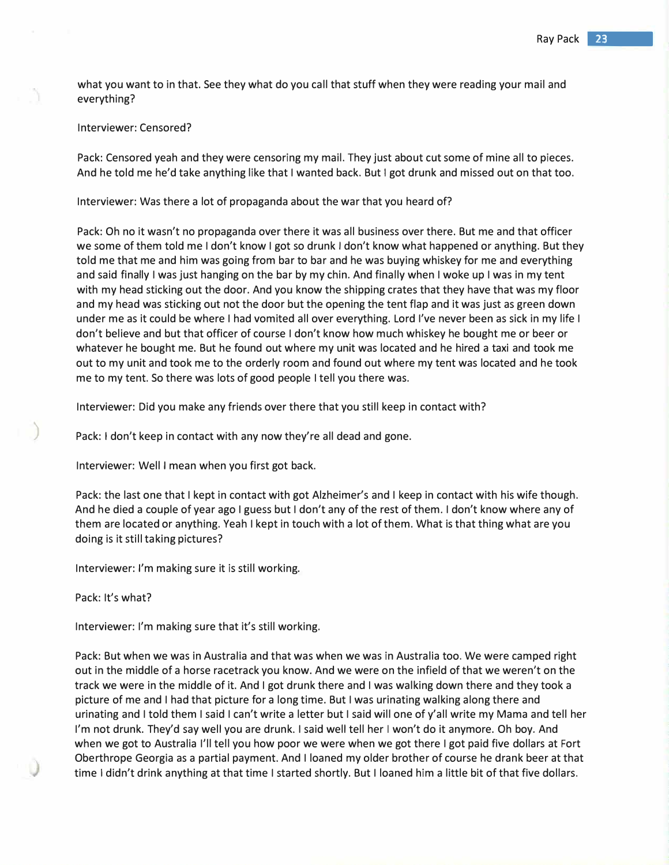what you want to in that. See they what do you call that stuff when they were reading your mail and everything?

# Interviewer: Censored?

Pack: Censored yeah and they were censoring my mail. They just about cut some of mine all to pieces. And he told me he'd take anything like that I wanted back. But I got drunk and missed out on that too.

Interviewer: Was there a lot of propaganda about the war that you heard of?

Pack: Oh no it wasn't no propaganda over there it was all business over there. But me and that officer we some of them told me I don't know I got so drunk I don't know what happened or anything. But they told me that me and him was going from bar to bar and he was buying whiskey for me and everything and said finally I was just hanging on the bar by my chin. And finally when I woke up I was in my tent with my head sticking out the door. And you know the shipping crates that they have that was my floor and my head was sticking out not the door but the opening the tent flap and it was just as green down under me as it could be where I had vomited all over everything. Lord I've never been as sick in my life I don't believe and but that officer of course I don't know how much whiskey he bought me or beer or whatever he bought me. But he found out where my unit was located and he hired a taxi and took me out to my unit and took me to the orderly room and found out where my tent was located and he took me to my tent. So there was lots of good people I tell you there was.

Interviewer: Did you make any friends over there that you still keep in contact with?

Pack: I don't keep in contact with any now they're all dead and gone.

Interviewer: Well I mean when you first got back.

Pack: the last one that I kept in contact with got Alzheimer's and I keep in contact with his wife though. And he died a couple of year ago I guess but I don't any of the rest of them. I don't know where any of them are located or anything. Yeah I kept in touch with a lot of them. What is that thing what are you doing is it still taking pictures?

Interviewer: I'm making sure it is still working.

Pack: It's what?

)

Interviewer: I'm making sure that it's still working.

Pack: But when we was in Australia and that was when we was in Australia too. We were camped right out in the middle of a horse racetrack you know. And we were on the infield of that we weren't on the track we were in the middle of it. And I got drunk there and I was walking down there and they took a picture of me and I had that picture for a long time. But I was urinating walking along there and urinating and I told them I said I can't write a letter but I said will one of y'all write my Mama and tell her I'm not drunk. They'd say well you are drunk. I said well tell her I won't do it anymore. Oh boy. And when we got to Australia I'll tell you how poor we were when we got there I got paid five dollars at Fort Oberthrope Georgia as a partial payment. And I loaned my older brother of course he drank beer at that time I didn't drink anything at that time I started shortly. But I loaned him a little bit of that five dollars.